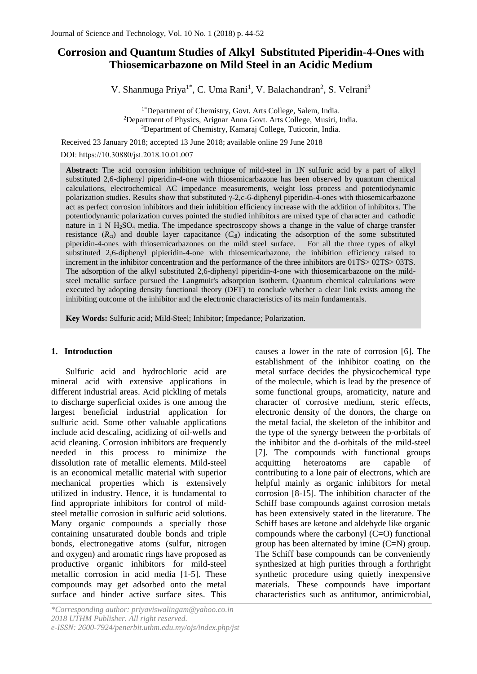# **Corrosion and Quantum Studies of Alkyl Substituted Piperidin-4-Ones with Thiosemicarbazone on Mild Steel in an Acidic Medium**

V. Shanmuga Priya<sup>1\*</sup>, C. Uma Rani<sup>1</sup>, V. Balachandran<sup>2</sup>, S. Velrani<sup>3</sup>

<sup>1\*</sup>Department of Chemistry, Govt. Arts College, Salem, India. <sup>2</sup>Department of Physics, Arignar Anna Govt. Arts College, Musiri, India. <sup>3</sup>Department of Chemistry, Kamaraj College, Tuticorin, India.

Received 23 January 2018; accepted 13 June 2018; available online 29 June 2018

DOI: https://10.30880/jst.2018.10.01.007

**Abstract:** The acid corrosion inhibition technique of mild-steel in 1N sulfuric acid by a part of alkyl substituted 2,6-diphenyl piperidin-4-one with thiosemicarbazone has been observed by quantum chemical calculations, electrochemical AC impedance measurements, weight loss process and potentiodynamic polarization studies. Results show that substituted γ-2,c-6-diphenyl piperidin-4-ones with thiosemicarbazone act as perfect corrosion inhibitors and their inhibition efficiency increase with the addition of inhibitors. The potentiodynamic polarization curves pointed the studied inhibitors are mixed type of character and cathodic nature in 1 N H<sub>2</sub>SO<sub>4</sub> media. The impedance spectroscopy shows a change in the value of charge transfer resistance  $(R_{ct})$  and double layer capacitance  $(C_{d})$  indicating the adsorption of the some substituted piperidin-4-ones with thiosemicarbazones on the mild steel surface. For all the three types of alkyl piperidin-4-ones with thiosemicarbazones on the mild steel surface. substituted 2,6-diphenyl pipieridin-4-one with thiosemicarbazone, the inhibition efficiency raised to increment in the inhibitor concentration and the performance of the three inhibitors are 01TS> 02TS> 03TS. The adsorption of the alkyl substituted 2,6-diphenyl piperidin-4-one with thiosemicarbazone on the mildsteel metallic surface pursued the Langmuir's adsorption isotherm. Quantum chemical calculations were executed by adopting density functional theory (DFT) to conclude whether a clear link exists among the inhibiting outcome of the inhibitor and the electronic characteristics of its main fundamentals.

**Key Words:** Sulfuric acid; Mild-Steel; Inhibitor; Impedance; Polarization.

## **1. Introduction**

Sulfuric acid and hydrochloric acid are mineral acid with extensive applications in different industrial areas. Acid pickling of metals to discharge superficial oxides is one among the largest beneficial industrial application for sulfuric acid. Some other valuable applications include acid descaling, acidizing of oil-wells and acid cleaning. Corrosion inhibitors are frequently needed in this process to minimize the dissolution rate of metallic elements. Mild-steel is an economical metallic material with superior mechanical properties which is extensively utilized in industry. Hence, it is fundamental to find appropriate inhibitors for control of mildsteel metallic corrosion in sulfuric acid solutions. Many organic compounds a specially those containing unsaturated double bonds and triple bonds, electronegative atoms (sulfur, nitrogen and oxygen) and aromatic rings have proposed as productive organic inhibitors for mild-steel metallic corrosion in acid media [1-5]. These compounds may get adsorbed onto the metal surface and hinder active surface sites. This

*\*Corresponding author: priyaviswalingam@yahoo.co.in 2018 UTHM Publisher. All right reserved. e-ISSN: 2600-7924/penerbit.uthm.edu.my/ojs/index.php/jst*  causes a lower in the rate of corrosion [6]. The establishment of the inhibitor coating on the metal surface decides the physicochemical type of the molecule, which is lead by the presence of some functional groups, aromaticity, nature and character of corrosive medium, steric effects, electronic density of the donors, the charge on the metal facial, the skeleton of the inhibitor and the type of the synergy between the p-orbitals of the inhibitor and the d-orbitals of the mild-steel [7]. The compounds with functional groups acquitting heteroatoms are capable of contributing to a lone pair of electrons, which are helpful mainly as organic inhibitors for metal corrosion [8-15]. The inhibition character of the Schiff base compounds against corrosion metals has been extensively stated in the literature. The Schiff bases are ketone and aldehyde like organic compounds where the carbonyl (C=O) functional group has been alternated by imine (C=N) group. The Schiff base compounds can be conveniently synthesized at high purities through a forthright synthetic procedure using quietly inexpensive materials. These compounds have important characteristics such as antitumor, antimicrobial,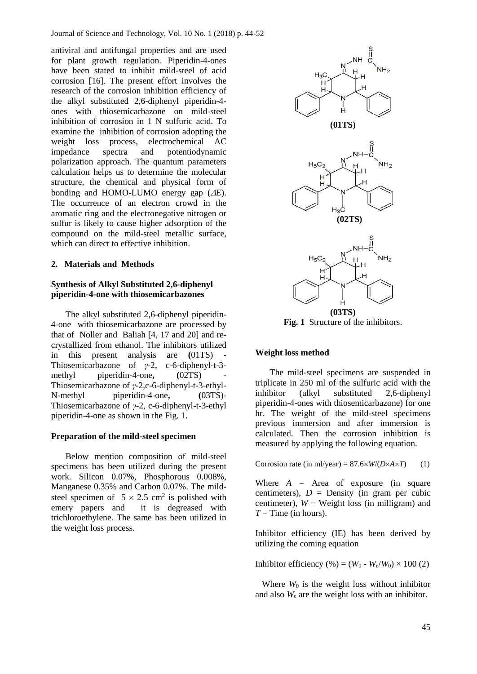antiviral and antifungal properties and are used for plant growth regulation. Piperidin-4-ones have been stated to inhibit mild-steel of acid corrosion [16]. The present effort involves the research of the corrosion inhibition efficiency of the alkyl substituted 2,6-diphenyl piperidin-4 ones with thiosemicarbazone on mild-steel inhibition of corrosion in 1 N sulfuric acid. To examine the inhibition of corrosion adopting the weight loss process, electrochemical AC impedance spectra and potentiodynamic polarization approach. The quantum parameters calculation helps us to determine the molecular structure, the chemical and physical form of bonding and HOMO-LUMO energy gap  $(\Delta E)$ . The occurrence of an electron crowd in the aromatic ring and the electronegative nitrogen or sulfur is likely to cause higher adsorption of the compound on the mild-steel metallic surface, which can direct to effective inhibition.

## **2. Materials and Methods**

# **Synthesis of Alkyl Substituted 2,6-diphenyl piperidin-4-one with thiosemicarbazones**

The alkyl substituted 2,6-diphenyl piperidin-4-one with thiosemicarbazone are processed by that of Noller and Baliah [4, 17 and 20] and recrystallized from ethanol. The inhibitors utilized in this present analysis are **(**01TS) - Thiosemicarbazone of *γ*-2, c-6-diphenyl-t-3 methyl piperidin-4-one,  $(02TS)$ Thiosemicarbazone of *γ*-2,c-6-diphenyl-t-3-ethyl-N-methyl piperidin-4-one**, (**03TS)- Thiosemicarbazone of *γ*-2, c-6-diphenyl-t-3-ethyl piperidin-4-one as shown in the Fig. 1.

# **Preparation of the mild-steel specimen**

Below mention composition of mild-steel specimens has been utilized during the present work. Silicon 0.07%, Phosphorous 0.008%, Manganese 0.35% and Carbon 0.07%. The mildsteel specimen of  $5 \times 2.5$  cm<sup>2</sup> is polished with emery papers and it is degreased with trichloroethylene. The same has been utilized in the weight loss process.



**Fig. 1** Structure of the inhibitors.

#### **Weight loss method**

The mild-steel specimens are suspended in triplicate in 250 ml of the sulfuric acid with the inhibitor (alkyl substituted 2,6-diphenyl piperidin-4-ones with thiosemicarbazone) for one hr. The weight of the mild-steel specimens previous immersion and after immersion is calculated. Then the corrosion inhibition is measured by applying the following equation.

Corrosion rate (in ml/year) =  $87.6 \times W/(D \times A \times T)$  (1)

Where  $A = Area$  of exposure (in square centimeters),  $D =$  Density (in gram per cubic centimeter),  $W =$  Weight loss (in milligram) and  $T =$ Time (in hours).

Inhibitor efficiency (IE) has been derived by utilizing the coming equation

Inhibitor efficiency (%) =  $(W_0 - W_e/W_0) \times 100$  (2)

Where  $W_0$  is the weight loss without inhibitor and also *W*<sup>e</sup> are the weight loss with an inhibitor.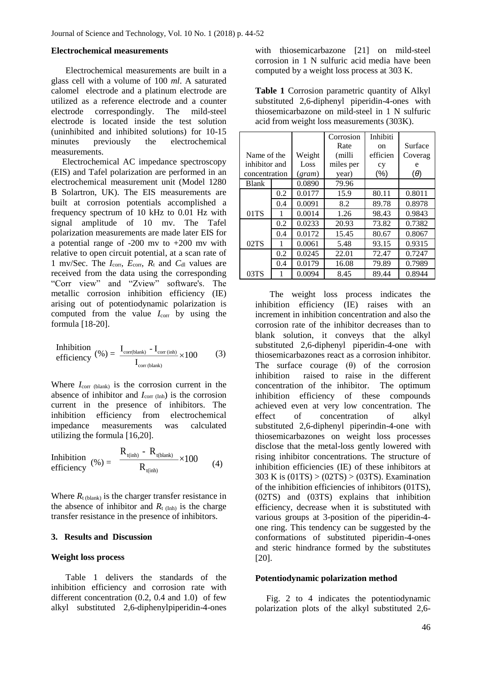#### **Electrochemical measurements**

Electrochemical measurements are built in a glass cell with a volume of 100 *ml*. A saturated calomel electrode and a platinum electrode are utilized as a reference electrode and a counter electrode correspondingly. The mild-steel electrode is located inside the test solution (uninhibited and inhibited solutions) for 10-15 minutes previously the electrochemical measurements.

 Electrochemical AC impedance spectroscopy (EIS) and Tafel polarization are performed in an electrochemical measurement unit (Model 1280 B Solartron, UK). The EIS measurements are built at corrosion potentials accomplished a frequency spectrum of 10 kHz to 0.01 Hz with signal amplitude of 10 mv. The Tafel polarization measurements are made later EIS for a potential range of  $-200$  mv to  $+200$  mv with relative to open circuit potential, at a scan rate of 1 mv/Sec. The  $I_{\text{corr}}$ ,  $E_{\text{corr}}$ ,  $R_t$  and  $C_{dl}$  values are received from the data using the corresponding "Corr view" and "Zview" software's. The metallic corrosion inhibition efficiency (IE) arising out of potentiodynamic polarization is computed from the value  $I_{\text{corr}}$  by using the formula [18-20].

Inhibition  
\nefficiency 
$$
(\%) = \frac{I_{\text{corr(blank})} - I_{\text{corr (inh)}}}{I_{\text{corr (blank)}} \times 100}
$$
 (3)

Where  $I_{\text{corr (blank)}}$  is the corrosion current in the absence of inhibitor and  $I_{\text{corr (Inh)}}$  is the corrosion current in the presence of inhibitors. The inhibition efficiency from electrochemical impedance measurements was calculated utilizing the formula [16,20].

$$
\begin{array}{ll}\n\text{Inhibition} \\
\text{efficiency} & (%) = \frac{R_{t(inh)} - R_{t(blank)}}{R_{t(inh)}} \times 100 \\
\text{(4)}\n\end{array}
$$

Where  $R_{t \text{ (blank)}}$  is the charger transfer resistance in the absence of inhibitor and  $R_{t (Inh)}$  is the charge transfer resistance in the presence of inhibitors.

#### **3. Results and Discussion**

#### **Weight loss process**

Table 1 delivers the standards of the inhibition efficiency and corrosion rate with different concentration (0.2, 0.4 and 1.0) of few alkyl substituted 2,6-diphenylpiperidin-4-ones

with thiosemicarbazone [21] on mild-steel corrosion in 1 N sulfuric acid media have been computed by a weight loss process at 303 K.

**Table 1** Corrosion parametric quantity of Alkyl substituted 2,6-diphenyl piperidin-4-ones with thiosemicarbazone on mild-steel in 1 N sulfuric acid from weight loss measurements (303K).

|               |               |        | Corrosion | Inhibiti |            |
|---------------|---------------|--------|-----------|----------|------------|
|               |               |        | Rate      | on       | Surface    |
|               | Name of the   |        | (milli    | efficien | Coverag    |
|               | inhibitor and |        | miles per | cy       | e          |
| concentration |               | (gram) | year)     | (%)      | $(\theta)$ |
| <b>Blank</b>  |               |        | 79.96     |          |            |
|               | 0.2           | 0.0177 | 15.9      | 80.11    | 0.8011     |
|               | 0.4           | 0.0091 | 8.2       | 89.78    | 0.8978     |
| 01TS          |               | 0.0014 | 1.26      | 98.43    | 0.9843     |
| 0.2           |               | 0.0233 | 20.93     | 73.82    | 0.7382     |
|               | 0.4           | 0.0172 | 15.45     | 80.67    | 0.8067     |
| 02TS          | 1             | 0.0061 | 5.48      | 93.15    | 0.9315     |
|               | 0.2           | 0.0245 | 22.01     | 72.47    | 0.7247     |
|               | 0.4           | 0.0179 | 16.08     | 79.89    | 0.7989     |
| 03TS          |               | 0.0094 | 8.45      | 89.44    | 0.8944     |

The weight loss process indicates the inhibition efficiency (IE) raises with an increment in inhibition concentration and also the corrosion rate of the inhibitor decreases than to blank solution, it conveys that the alkyl substituted 2,6-diphenyl piperidin-4-one with thiosemicarbazones react as a corrosion inhibitor. The surface courage  $(\theta)$  of the corrosion inhibition raised to raise in the different concentration of the inhibitor. The optimum inhibition efficiency of these compounds achieved even at very low concentration. The effect of concentration of alkyl substituted 2,6-diphenyl piperindin-4-one with thiosemicarbazones on weight loss processes disclose that the metal-loss gently lowered with rising inhibitor concentrations. The structure of inhibition efficiencies (IE) of these inhibitors at 303 K is (01TS) > (02TS) > (03TS). Examination of the inhibition efficiencies of inhibitors (01TS), (02TS) and (03TS) explains that inhibition efficiency, decrease when it is substituted with various groups at 3-position of the piperidin-4 one ring. This tendency can be suggested by the conformations of substituted piperidin-4-ones and steric hindrance formed by the substitutes [20].

#### **Potentiodynamic polarization method**

 Fig. 2 to 4 indicates the potentiodynamic polarization plots of the alkyl substituted 2,6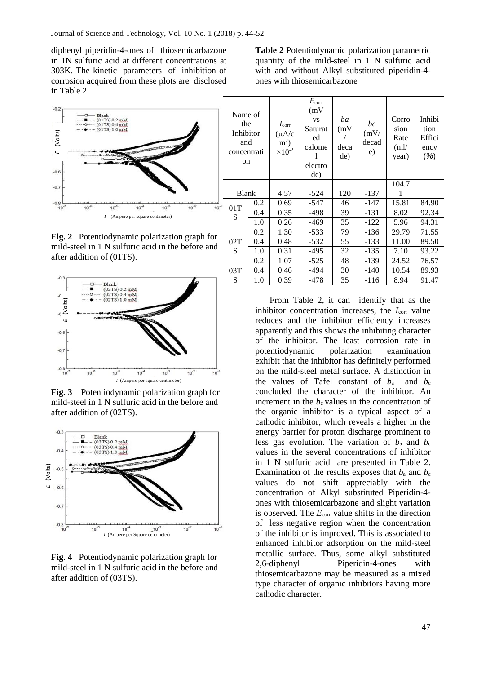diphenyl piperidin-4-ones of thiosemicarbazone in 1N sulfuric acid at different concentrations at 303K. The kinetic parameters of inhibition of corrosion acquired from these plots are disclosed in Table 2.



**Fig. 2** Potentiodynamic polarization graph for mild-steel in 1 N sulfuric acid in the before and after addition of (01TS).



**Fig. 3** Potentiodynamic polarization graph for mild-steel in 1 N sulfuric acid in the before and after addition of (02TS).



**Fig. 4** Potentiodynamic polarization graph for mild-steel in 1 N sulfuric acid in the before and after addition of (03TS).

**Table 2** Potentiodynamic polarization parametric quantity of the mild-steel in 1 N sulfuric acid with and without Alkyl substituted piperidin-4 ones with thiosemicarbazone

| Name of<br>the<br>Inhibitor<br>and<br>concentrati<br>on |     | $I_{\rm corr}$<br>$(\mu A/c)$<br>$m2$ )<br>$\times 10^{-2}$ | $E_{\rm corr}$<br>(mV)<br><b>VS</b><br>Saturat<br>ed<br>calome<br>electro<br>de) | ba<br>(mV)<br>deca<br>de) | bc<br>(mV)<br>decad<br>e) | Corro<br>sion<br>Rate<br>(ml)<br>year) | Inhibi<br>tion<br>Effici<br>ency<br>(%) |
|---------------------------------------------------------|-----|-------------------------------------------------------------|----------------------------------------------------------------------------------|---------------------------|---------------------------|----------------------------------------|-----------------------------------------|
|                                                         |     |                                                             |                                                                                  |                           |                           | 104.7                                  |                                         |
| <b>Blank</b>                                            |     | 4.57                                                        | $-524$                                                                           | 120                       | $-137$                    | 1                                      |                                         |
| 01T                                                     | 0.2 | 0.69                                                        | -547                                                                             | 46                        | $-147$                    | 15.81                                  | 84.90                                   |
| S                                                       | 0.4 | 0.35                                                        | $-498$                                                                           | 39                        | $-131$                    | 8.02                                   | 92.34                                   |
|                                                         | 1.0 | 0.26                                                        | $-469$                                                                           | 35                        | $-122$                    | 5.96                                   | 94.31                                   |
|                                                         | 0.2 | 1.30                                                        | $-533$                                                                           | 79                        | $-136$                    | 29.79                                  | 71.55                                   |
| 02T                                                     | 0.4 | 0.48                                                        | $-532$                                                                           | 55                        | $-133$                    | 11.00                                  | 89.50                                   |
| S                                                       | 1.0 | 0.31                                                        | -495                                                                             | 32                        | $-135$                    | 7.10                                   | 93.22                                   |
|                                                         | 0.2 | 1.07                                                        | $-525$                                                                           | 48                        | $-139$                    | 24.52                                  | 76.57                                   |
| 03T                                                     | 0.4 | 0.46                                                        | -494                                                                             | 30                        | -140                      | 10.54                                  | 89.93                                   |
| S                                                       | 1.0 | 0.39                                                        | -478                                                                             | 35                        | $-116$                    | 8.94                                   | 91.47                                   |

From Table 2, it can identify that as the inhibitor concentration increases, the *I*<sub>corr</sub> value reduces and the inhibitor efficiency increases apparently and this shows the inhibiting character of the inhibitor. The least corrosion rate in potentiodynamic polarization examination exhibit that the inhibitor has definitely performed on the mild-steel metal surface. A distinction in the values of Tafel constant of  $b_a$  and  $b_c$ concluded the character of the inhibitor. An increment in the  $b_c$  values in the concentration of the organic inhibitor is a typical aspect of a cathodic inhibitor, which reveals a higher in the energy barrier for proton discharge prominent to less gas evolution. The variation of  $b_a$  and  $b_c$ values in the several concentrations of inhibitor in 1 N sulfuric acid are presented in Table 2. Examination of the results exposes that  $b_a$  and  $b_c$ values do not shift appreciably with the concentration of Alkyl substituted Piperidin-4 ones with thiosemicarbazone and slight variation is observed. The  $E_{\text{corr}}$  value shifts in the direction of less negative region when the concentration of the inhibitor is improved. This is associated to enhanced inhibitor adsorption on the mild-steel metallic surface. Thus, some alkyl substituted 2,6-diphenyl Piperidin-4-ones with thiosemicarbazone may be measured as a mixed type character of organic inhibitors having more cathodic character.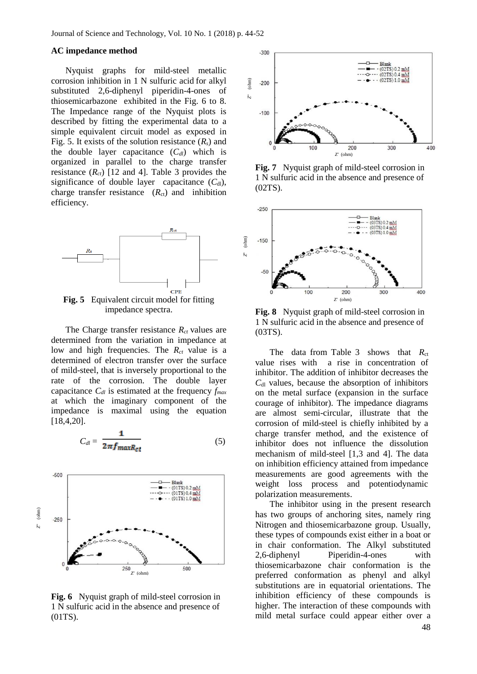#### **AC impedance method**

Nyquist graphs for mild-steel metallic corrosion inhibition in 1 N sulfuric acid for alkyl substituted 2,6-diphenyl piperidin-4-ones of thiosemicarbazone exhibited in the Fig. 6 to 8. The Impedance range of the Nyquist plots is described by fitting the experimental data to a simple equivalent circuit model as exposed in Fig. 5. It exists of the solution resistance  $(R_s)$  and the double layer capacitance  $(C_{d*l*)$  which is organized in parallel to the charge transfer resistance  $(R<sub>ct</sub>)$  [12 and 4]. Table 3 provides the significance of double layer capacitance  $(C<sub>dl</sub>)$ , charge transfer resistance  $(R<sub>ct</sub>)$  and inhibition efficiency.



**Fig. 5** Equivalent circuit model for fitting impedance spectra.

The Charge transfer resistance *Rct* values are determined from the variation in impedance at low and high frequencies. The  $R_{ct}$  value is a determined of electron transfer over the surface of mild-steel, that is inversely proportional to the rate of the corrosion. The double layer capacitance *Cdl* is estimated at the frequency *fmax* at which the imaginary component of the impedance is maximal using the equation [18,4,20].

$$
C_{dl} = \frac{1}{2\pi f_{max} R_{ct}} \tag{5}
$$



**Fig. 6** Nyquist graph of mild-steel corrosion in 1 N sulfuric acid in the absence and presence of (01TS).



**Fig. 7** Nyquist graph of mild-steel corrosion in 1 N sulfuric acid in the absence and presence of (02TS).



**Fig. 8** Nyquist graph of mild-steel corrosion in 1 N sulfuric acid in the absence and presence of (03TS).

The data from Table 3 shows that *R*<sub>ct</sub> value rises with a rise in concentration of inhibitor. The addition of inhibitor decreases the  $C<sub>dl</sub>$  values, because the absorption of inhibitors on the metal surface (expansion in the surface courage of inhibitor). The impedance diagrams are almost semi-circular, illustrate that the corrosion of mild-steel is chiefly inhibited by a charge transfer method, and the existence of inhibitor does not influence the dissolution mechanism of mild-steel [1,3 and 4]. The data on inhibition efficiency attained from impedance measurements are good agreements with the weight loss process and potentiodynamic polarization measurements.

The inhibitor using in the present research has two groups of anchoring sites, namely ring Nitrogen and thiosemicarbazone group. Usually, these types of compounds exist either in a boat or in chair conformation. The Alkyl substituted 2,6-diphenyl Piperidin-4-ones with thiosemicarbazone chair conformation is the preferred conformation as phenyl and alkyl substitutions are in equatorial orientations. The inhibition efficiency of these compounds is higher. The interaction of these compounds with mild metal surface could appear either over a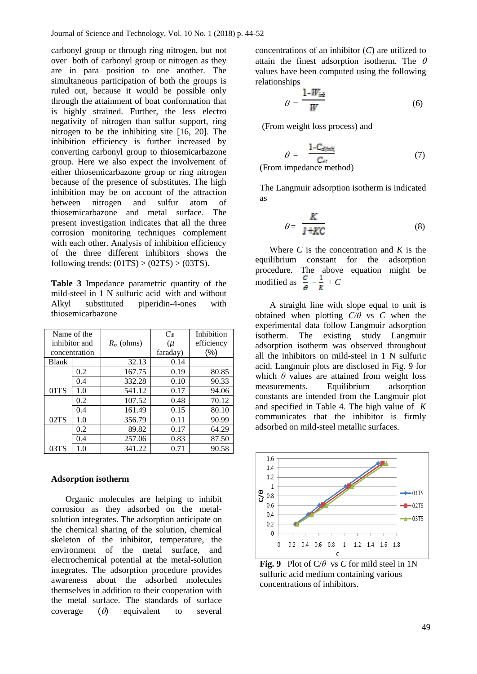carbonyl group or through ring nitrogen, but not over both of carbonyl group or nitrogen as they are in para position to one another. The simultaneous participation of both the groups is ruled out, because it would be possible only through the attainment of boat conformation that is highly strained. Further, the less electro negativity of nitrogen than sulfur support, ring nitrogen to be the inhibiting site [16, 20]. The inhibition efficiency is further increased by converting carbonyl group to thiosemicarbazone group. Here we also expect the involvement of either thiosemicarbazone group or ring nitrogen because of the presence of substitutes. The high inhibition may be on account of the attraction between nitrogen and sulfur atom of thiosemicarbazone and metal surface. The present investigation indicates that all the three corrosion monitoring techniques complement with each other. Analysis of inhibition efficiency of the three different inhibitors shows the following trends:  $(01TS) > (02TS) > (03TS)$ .

**Table 3** Impedance parametric quantity of the mild-steel in 1 N sulfuric acid with and without Alkyl substituted piperidin-4-ones with thiosemicarbazone

| Name of the      |               |                     | $C_{\rm dl}$ | Inhibition |
|------------------|---------------|---------------------|--------------|------------|
| inhibitor and    |               | $R_{\rm ct}$ (ohms) | (μ           | efficiency |
|                  | concentration |                     | faraday)     | $(\% )$    |
| Blank            |               | 32.13               | 0.14         |            |
|                  | 0.2           | 167.75              | 0.19         | 80.85      |
|                  | 0.4           | 332.28              | 0.10         | 90.33      |
| 01T <sub>S</sub> | 1.0           | 541.12              | 0.17         | 94.06      |
|                  | 0.2           | 107.52              | 0.48         | 70.12      |
|                  | 0.4           | 161.49              | 0.15         | 80.10      |
| 02TS             | 1.0           | 356.79              | 0.11         | 90.99      |
|                  | 0.2           | 89.82               | 0.17         | 64.29      |
|                  | 0.4           | 257.06              | 0.83         | 87.50      |
| 03TS             | 1.0           | 341.22              | 0.71         | 90.58      |

#### **Adsorption isotherm**

Organic molecules are helping to inhibit corrosion as they adsorbed on the metalsolution integrates. The adsorption anticipate on the chemical sharing of the solution, chemical skeleton of the inhibitor, temperature, the environment of the metal surface, and electrochemical potential at the metal-solution integrates. The adsorption procedure provides awareness about the adsorbed molecules themselves in addition to their cooperation with the metal surface. The standards of surface coverage  $(\theta)$  equivalent to several

concentrations of an inhibitor (*C*) are utilized to attain the finest adsorption isotherm. The  $\theta$ values have been computed using the following relationships

$$
\theta = \frac{1 - W_{\text{int}}}{W} \tag{6}
$$

(From weight loss process) and

$$
\theta = \frac{1 - C_{d(nh)}}{C_{di}} \tag{7}
$$

(From impedance method)

The Langmuir adsorption isotherm is indicated as

$$
\theta = \frac{K}{I + KC} \tag{8}
$$

Where *C* is the concentration and *K* is the equilibrium constant for the adsorption procedure. The above equation might be modified as  $\frac{c}{\theta} = \frac{1}{K} + C$ 

A straight line with slope equal to unit is obtained when plotting *C/θ* vs *C* when the experimental data follow Langmuir adsorption isotherm. The existing study Langmuir adsorption isotherm was observed throughout all the inhibitors on mild-steel in 1 N sulfuric acid. Langmuir plots are disclosed in Fig. 9 for which  $\theta$  values are attained from weight loss measurements. Equilibrium adsorption constants are intended from the Langmuir plot and specified in Table 4. The high value of *K* communicates that the inhibitor is firmly adsorbed on mild-steel metallic surfaces.



**Fig. 9** Plot of C/*θ* vs *C* for mild steel in 1N sulfuric acid medium containing various concentrations of inhibitors.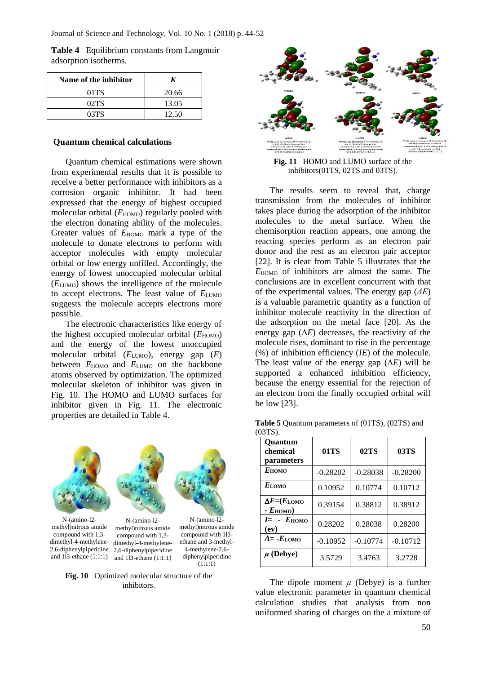**Table 4** Equilibrium constants from Langmuir adsorption isotherms.

| Name of the inhibitor |       |  |
|-----------------------|-------|--|
| $01$ TS               | 20.66 |  |
| 02TS                  | 13.05 |  |
| 03TS                  | 12.50 |  |

#### **Quantum chemical calculations**

Quantum chemical estimations were shown from experimental results that it is possible to receive a better performance with inhibitors as a corrosion organic inhibitor. It had been expressed that the energy of highest occupied molecular orbital ( $E_{HOMO}$ ) regularly pooled with the electron donating ability of the molecules. Greater values of  $E_{HOMO}$  mark a type of the molecule to donate electrons to perform with acceptor molecules with empty molecular orbital or low energy unfilled. Accordingly, the energy of lowest unoccupied molecular orbital (*E*LUMO) shows the intelligence of the molecule to accept electrons. The least value of  $E_{\text{LUMO}}$ suggests the molecule accepts electrons more possible.

The electronic characteristics like energy of the highest occupied molecular orbital ( $E_{HOMO}$ ) and the energy of the lowest unoccupied molecular orbital (*E*LUMO), energy gap (*E*) between  $E_{HOMO}$  and  $E_{LUMO}$  on the backbone atoms observed by optimization. The optimized molecular skeleton of inhibitor was given in Fig. 10. The HOMO and LUMO surfaces for inhibitor given in Fig. 11. The electronic properties are detailed in Table 4.



methyl)nitrous amide compound with 1,3 dimethyl-4-methylene-2,6-diphenylpiperidine 2,6-diphenylpiperidine and 1l3-ethane (1:1:1)

compound with 1l3 ethane and 3-methyl-4-methylene-2,6 diphenylpiperidine  $(1:1:1)$ compound with 1,3 dimethyl-4-methyleneand 1l3-ethane (1:1:1)

**Fig. 10** Optimized molecular structure of the inhibitors.



**Fig. 11** HOMO and LUMO surface of the inhibitors(01TS, 02TS and 03TS).

The results seem to reveal that, charge transmission from the molecules of inhibitor takes place during the adsorption of the inhibitor molecules to the metal surface. When the chemisorption reaction appears, one among the reacting species perform as an electron pair donor and the rest as an electron pair acceptor [22]. It is clear from Table 5 illustrates that the *E*HOMO of inhibitors are almost the same. The conclusions are in excellent concurrent with that of the experimental values. The energy gap (*ΔE*) is a valuable parametric quantity as a function of inhibitor molecule reactivity in the direction of the adsorption on the metal face [20]. As the energy gap  $(\Delta E)$  decreases, the reactivity of the molecule rises, dominant to rise in the percentage (%) of inhibition efficiency (*IE*) of the molecule. The least value of the energy gap  $(\Delta E)$  will be supported a enhanced inhibition efficiency, because the energy essential for the rejection of an electron from the finally occupied orbital will be low [23].

**Table 5** Quantum parameters of (01TS), (02TS) and (03TS).

| <b>Ouantum</b><br>chemical<br>parameters                | 01TS       | 02TS       | 03TS       |
|---------------------------------------------------------|------------|------------|------------|
| $E$ номо                                                | $-0.28202$ | $-0.28038$ | $-0.28200$ |
| $E_{\text{LOMO}}$                                       | 0.10952    | 0.10774    | 0.10712    |
| $\Delta E = (E_{\text{LOMO}})$<br>- $E_{\text{HOMO}}$ ) | 0.39154    | 0.38812    | 0.38912    |
| $I = -E_{HOMO}$<br>$\left(\mathbf{ev}\right)$           | 0.28202    | 0.28038    | 0.28200    |
| $A = -E$ LOMO                                           | $-0.10952$ | $-0.10774$ | $-0.10712$ |
| $\mu$ (Debye)                                           | 3.5729     | 3.4763     | 3.2728     |

The dipole moment  $\mu$  (Debye) is a further value electronic parameter in quantum chemical calculation studies that analysis from non uniformed sharing of charges on the a mixture of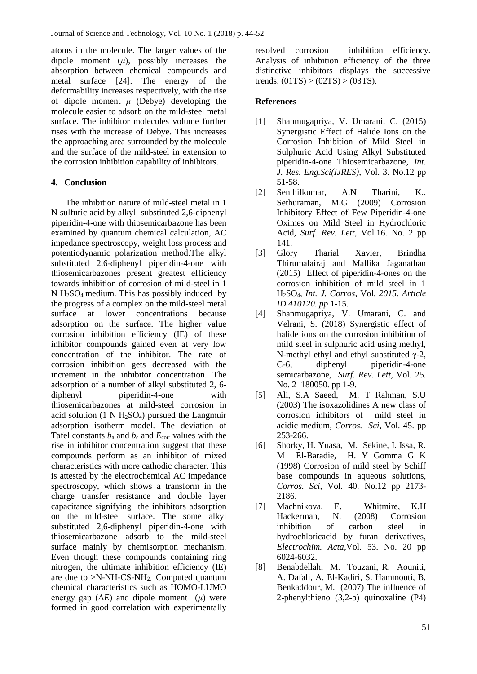atoms in the molecule. The larger values of the dipole moment  $(\mu)$ , possibly increases the absorption between chemical compounds and metal surface [24]. The energy of the deformability increases respectively, with the rise of dipole moment *μ* (Debye) developing the molecule easier to adsorb on the mild-steel metal surface. The inhibitor molecules volume further rises with the increase of Debye. This increases the approaching area surrounded by the molecule and the surface of the mild-steel in extension to the corrosion inhibition capability of inhibitors.

# **4. Conclusion**

The inhibition nature of mild-steel metal in 1 N sulfuric acid by alkyl substituted 2,6-diphenyl piperidin-4-one with thiosemicarbazone has been examined by quantum chemical calculation, AC impedance spectroscopy, weight loss process and potentiodynamic polarization method.The alkyl substituted 2,6-diphenyl piperidin-4-one with thiosemicarbazones present greatest efficiency towards inhibition of corrosion of mild-steel in 1  $N$  H<sub>2</sub>SO<sub>4</sub> medium. This has possibly induced by the progress of a complex on the mild-steel metal surface at lower concentrations because adsorption on the surface. The higher value corrosion inhibition efficiency (IE) of these inhibitor compounds gained even at very low concentration of the inhibitor. The rate of corrosion inhibition gets decreased with the increment in the inhibitor concentration. The adsorption of a number of alkyl substituted 2, 6 diphenyl piperidin-4-one with thiosemicarbazones at mild-steel corrosion in acid solution  $(1 \text{ N H}_2\text{SO}_4)$  pursued the Langmuir adsorption isotherm model. The deviation of Tafel constants  $b_a$  and  $b_c$  and  $E_{\text{corr}}$  values with the rise in inhibitor concentration suggest that these compounds perform as an inhibitor of mixed characteristics with more cathodic character. This is attested by the electrochemical AC impedance spectroscopy, which shows a transform in the charge transfer resistance and double layer capacitance signifying the inhibitors adsorption on the mild-steel surface. The some alkyl substituted 2,6-diphenyl piperidin-4-one with thiosemicarbazone adsorb to the mild-steel surface mainly by chemisorption mechanism. Even though these compounds containing ring nitrogen, the ultimate inhibition efficiency (IE) are due to  $>N-NH-CS-NH_2$ . Computed quantum chemical characteristics such as HOMO-LUMO energy gap  $(\Delta E)$  and dipole moment  $(\mu)$  were formed in good correlation with experimentally

resolved corrosion inhibition efficiency. Analysis of inhibition efficiency of the three distinctive inhibitors displays the successive trends.  $(01TS) > (02TS) > (03TS)$ .

# **References**

- [1] Shanmugapriya, V. Umarani, C. (2015) Synergistic Effect of Halide Ions on the Corrosion Inhibition of Mild Steel in Sulphuric Acid Using Alkyl Substituted piperidin-4-one Thiosemicarbazone, *Int. J. Res. Eng.Sci(IJRES)*, Vol. 3. No.12 pp 51-58.
- [2] Senthilkumar, A.N Tharini, K.. Sethuraman, M.G (2009) Corrosion Inhibitory Effect of Few Piperidin-4-one Oximes on Mild Steel in Hydrochloric Acid, *Surf. Rev. Lett,* Vol*.*16. No. 2 pp 141.
- [3] Glory Tharial Xavier, Brindha Thirumalairaj and Mallika Jaganathan (2015) Effect of piperidin-4-ones on the corrosion inhibition of mild steel in 1 H2SO4, *Int. J. Corros,* Vol. *2015. Article ID.410120. pp* 1-15.
- [4] Shanmugapriya, V. Umarani, C. and Velrani, S. (2018) Synergistic effect of halide ions on the corrosion inhibition of mild steel in sulphuric acid using methyl, N-methyl ethyl and ethyl substituted γ-2, C-6, diphenyl piperidin-4-one semicarbazone, *Surf. Rev. Lett*, Vol. 25. No. 2 180050. pp 1-9.
- [5] Ali, S.A Saeed, M. T Rahman, S.U (2003) The isoxazolidines A new class of corrosion inhibitors of mild steel in acidic medium, *Corros. Sci,* Vol. 45. pp 253-266.
- [6] Shorky, H. Yuasa, M. Sekine, I. Issa, R. M El-Baradie, H. Y Gomma G K (1998) Corrosion of mild steel by Schiff base compounds in aqueous solutions, *Corros. Sci,* Vol*.* 40. No.12 pp 2173- 2186.
- [7] Machnikova, E. Whitmire, K.H Hackerman, N. (2008) Corrosion inhibition of carbon steel in hydrochloricacid by furan derivatives, *Electrochim. Acta,*Vol*.* 53. No. 20 pp 6024-6032.
- [8] Benabdellah, M. Touzani, R. Aouniti, A. Dafali, A. El-Kadiri, S. Hammouti, B. Benkaddour, M. (2007) The influence of 2-phenylthieno (3,2-b) quinoxaline (P4)